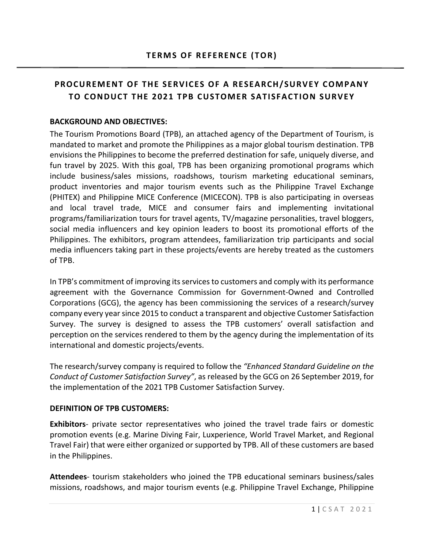# **PROCUREMENT OF THE SERVICES OF A RESEARCH/SURVEY COMPANY TO CONDUCT THE 2021 TPB CUSTOMER SATISFACTION SURVEY**

#### **BACKGROUND AND OBJECTIVES:**

The Tourism Promotions Board (TPB), an attached agency of the Department of Tourism, is mandated to market and promote the Philippines as a major global tourism destination. TPB envisions the Philippines to become the preferred destination for safe, uniquely diverse, and fun travel by 2025. With this goal, TPB has been organizing promotional programs which include business/sales missions, roadshows, tourism marketing educational seminars, product inventories and major tourism events such as the Philippine Travel Exchange (PHITEX) and Philippine MICE Conference (MICECON). TPB is also participating in overseas and local travel trade, MICE and consumer fairs and implementing invitational programs/familiarization tours for travel agents, TV/magazine personalities, travel bloggers, social media influencers and key opinion leaders to boost its promotional efforts of the Philippines. The exhibitors, program attendees, familiarization trip participants and social media influencers taking part in these projects/events are hereby treated as the customers of TPB.

In TPB's commitment of improving its services to customers and comply with its performance agreement with the Governance Commission for Government-Owned and Controlled Corporations (GCG), the agency has been commissioning the services of a research/survey company every yearsince 2015 to conduct a transparent and objective Customer Satisfaction Survey. The survey is designed to assess the TPB customers' overall satisfaction and perception on the services rendered to them by the agency during the implementation of its international and domestic projects/events.

The research/survey company is required to follow the *"Enhanced Standard Guideline on the Conduct of Customer Satisfaction Survey"*, as released by the GCG on 26 September 2019, for the implementation of the 2021 TPB Customer Satisfaction Survey.

#### **DEFINITION OF TPB CUSTOMERS:**

**Exhibitors**- private sector representatives who joined the travel trade fairs or domestic promotion events (e.g. Marine Diving Fair, Luxperience, World Travel Market, and Regional Travel Fair) that were either organized or supported by TPB. All of these customers are based in the Philippines.

**Attendees**- tourism stakeholders who joined the TPB educational seminars business/sales missions, roadshows, and major tourism events (e.g. Philippine Travel Exchange, Philippine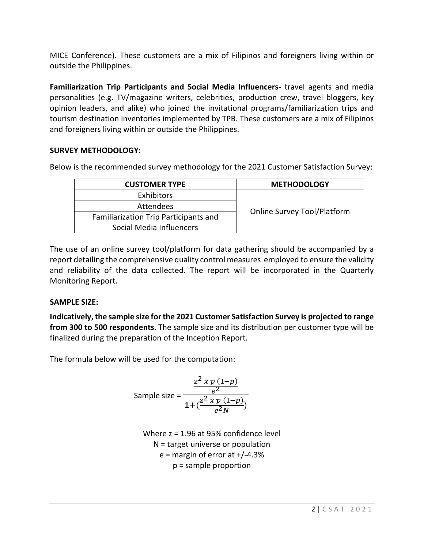MICE Conference). These customers are a mix of Filipinos and foreigners living within or outside the Philippines.

**Familiarization Trip Participants and Social Media Influencers**- travel agents and media personalities (e.g. TV/magazine writers, celebrities, production crew, travel bloggers, key opinion leaders, and alike) who joined the invitational programs/familiarization trips and tourism destination inventories implemented by TPB. These customers are a mix of Filipinos and foreigners living within or outside the Philippines.

## **SURVEY METHODOLOGY:**

Below is the recommended survey methodology for the 2021 Customer Satisfaction Survey:

| <b>CUSTOMER TYPE</b>                  | <b>METHODOLOGY</b>                 |  |
|---------------------------------------|------------------------------------|--|
| Exhibitors                            |                                    |  |
| Attendees                             |                                    |  |
| Familiarization Trip Participants and | <b>Online Survey Tool/Platform</b> |  |
| Social Media Influencers              |                                    |  |

The use of an online survey tool/platform for data gathering should be accompanied by a report detailing the comprehensive quality control measures employed to ensure the validity and reliability of the data collected. The report will be incorporated in the Quarterly Monitoring Report.

## **SAMPLE SIZE:**

**Indicatively, the sample size for the 2021 Customer Satisfaction Survey is projected to range from 300 to 500 respondents**. The sample size and its distribution per customer type will be finalized during the preparation of the Inception Report.

The formula below will be used for the computation:

Sample size = 
$$
\frac{\frac{z^2 x p (1-p)}{e^2}}{1 + (\frac{z^2 x p (1-p)}{e^2 N})}
$$

Where z = 1.96 at 95% confidence level N = target universe or population  $e =$  margin of error at  $+/-4.3%$ p = sample proportion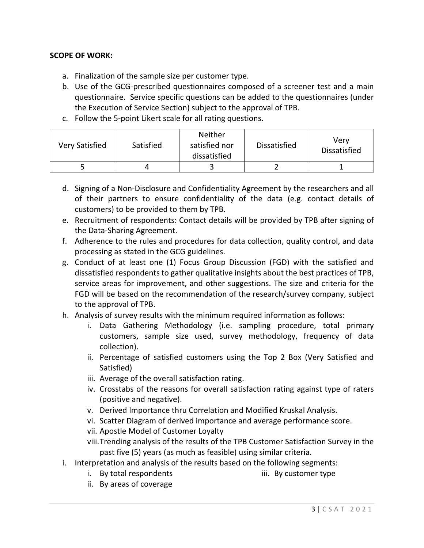#### **SCOPE OF WORK:**

- a. Finalization of the sample size per customer type.
- b. Use of the GCG-prescribed questionnaires composed of a screener test and a main questionnaire. Service specific questions can be added to the questionnaires (under the Execution of Service Section) subject to the approval of TPB.
- c. Follow the 5-point Likert scale for all rating questions.

| <b>Very Satisfied</b> | Satisfied | <b>Neither</b><br>satisfied nor<br>dissatisfied | <b>Dissatisfied</b> | Verv<br><b>Dissatisfied</b> |
|-----------------------|-----------|-------------------------------------------------|---------------------|-----------------------------|
|                       |           |                                                 |                     |                             |

- d. Signing of a Non-Disclosure and Confidentiality Agreement by the researchers and all of their partners to ensure confidentiality of the data (e.g. contact details of customers) to be provided to them by TPB.
- e. Recruitment of respondents: Contact details will be provided by TPB after signing of the Data-Sharing Agreement.
- f. Adherence to the rules and procedures for data collection, quality control, and data processing as stated in the GCG guidelines.
- g. Conduct of at least one (1) Focus Group Discussion (FGD) with the satisfied and dissatisfied respondents to gather qualitative insights about the best practices of TPB, service areas for improvement, and other suggestions. The size and criteria for the FGD will be based on the recommendation of the research/survey company, subject to the approval of TPB.
- h. Analysis of survey results with the minimum required information as follows:
	- i. Data Gathering Methodology (i.e. sampling procedure, total primary customers, sample size used, survey methodology, frequency of data collection).
	- ii. Percentage of satisfied customers using the Top 2 Box (Very Satisfied and Satisfied)
	- iii. Average of the overall satisfaction rating.
	- iv. Crosstabs of the reasons for overall satisfaction rating against type of raters (positive and negative).
	- v. Derived Importance thru Correlation and Modified Kruskal Analysis.
	- vi. Scatter Diagram of derived importance and average performance score.
	- vii. Apostle Model of Customer Loyalty
	- viii.Trending analysis of the results of the TPB Customer Satisfaction Survey in the past five (5) years (as much as feasible) using similar criteria.
- i. Interpretation and analysis of the results based on the following segments:
	- i. By total respondents iii. By customer type
	- ii. By areas of coverage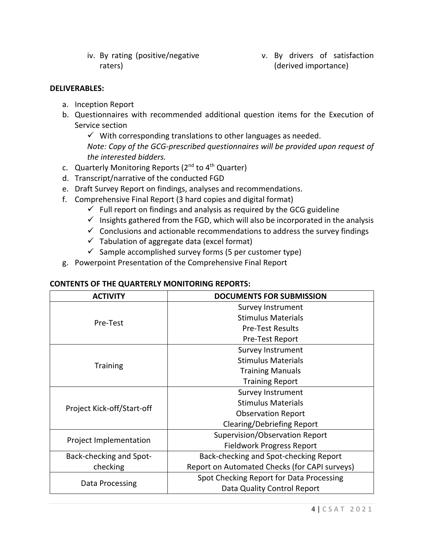iv. By rating (positive/negative raters)

v. By drivers of satisfaction (derived importance)

#### **DELIVERABLES:**

- a. Inception Report
- b. Questionnaires with recommended additional question items for the Execution of Service section

 $\checkmark$  With corresponding translations to other languages as needed.

*Note: Copy of the GCG-prescribed questionnaires will be provided upon request of the interested bidders.*

- c. Quarterly Monitoring Reports  $(2^{nd}$  to  $4^{th}$  Quarter)
- d. Transcript/narrative of the conducted FGD
- e. Draft Survey Report on findings, analyses and recommendations.
- f. Comprehensive Final Report (3 hard copies and digital format)
	- $\checkmark$  Full report on findings and analysis as required by the GCG guideline
	- $\checkmark$  Insights gathered from the FGD, which will also be incorporated in the analysis
	- $\checkmark$  Conclusions and actionable recommendations to address the survey findings
	- $\checkmark$  Tabulation of aggregate data (excel format)
	- $\checkmark$  Sample accomplished survey forms (5 per customer type)
- g. Powerpoint Presentation of the Comprehensive Final Report

#### **CONTENTS OF THE QUARTERLY MONITORING REPORTS:**

| <b>ACTIVITY</b>                | <b>DOCUMENTS FOR SUBMISSION</b>               |
|--------------------------------|-----------------------------------------------|
|                                | Survey Instrument                             |
| Pre-Test                       | <b>Stimulus Materials</b>                     |
|                                | <b>Pre-Test Results</b>                       |
|                                | Pre-Test Report                               |
|                                | <b>Survey Instrument</b>                      |
|                                | <b>Stimulus Materials</b>                     |
| <b>Training</b>                | <b>Training Manuals</b>                       |
|                                | <b>Training Report</b>                        |
|                                | Survey Instrument                             |
|                                | <b>Stimulus Materials</b>                     |
| Project Kick-off/Start-off     | <b>Observation Report</b>                     |
|                                | Clearing/Debriefing Report                    |
|                                | Supervision/Observation Report                |
| Project Implementation         | Fieldwork Progress Report                     |
| <b>Back-checking and Spot-</b> | Back-checking and Spot-checking Report        |
| checking                       | Report on Automated Checks (for CAPI surveys) |
|                                | Spot Checking Report for Data Processing      |
| Data Processing                | Data Quality Control Report                   |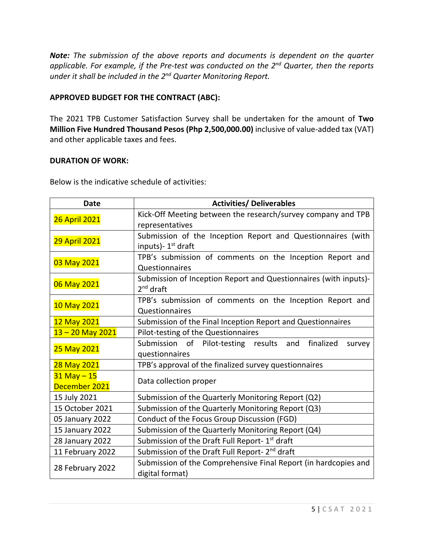*Note: The submission of the above reports and documents is dependent on the quarter applicable. For example, if the Pre-test was conducted on the 2nd Quarter, then the reports under it shall be included in the 2nd Quarter Monitoring Report.* 

### **APPROVED BUDGET FOR THE CONTRACT (ABC):**

The 2021 TPB Customer Satisfaction Survey shall be undertaken for the amount of **Two Million Five Hundred Thousand Pesos (Php 2,500,000.00)** inclusive of value-added tax (VAT) and other applicable taxes and fees.

#### **DURATION OF WORK:**

Below is the indicative schedule of activities:

| <b>Date</b>          | <b>Activities/ Deliverables</b>                                  |
|----------------------|------------------------------------------------------------------|
| <b>26 April 2021</b> | Kick-Off Meeting between the research/survey company and TPB     |
|                      | representatives                                                  |
| <b>29 April 2021</b> | Submission of the Inception Report and Questionnaires (with      |
|                      | inputs)- 1 <sup>st</sup> draft                                   |
| 03 May 2021          | TPB's submission of comments on the Inception Report and         |
|                      | Questionnaires                                                   |
| 06 May 2021          | Submission of Inception Report and Questionnaires (with inputs)- |
|                      | $2nd$ draft                                                      |
| 10 May 2021          | TPB's submission of comments on the Inception Report and         |
|                      | Questionnaires                                                   |
| 12 May 2021          | Submission of the Final Inception Report and Questionnaires      |
| $13 - 20$ May 2021   | Pilot-testing of the Questionnaires                              |
| 25 May 2021          | finalized<br>Submission of Pilot-testing results and<br>survey   |
|                      | questionnaires                                                   |
| 28 May 2021          | TPB's approval of the finalized survey questionnaires            |
| $31$ May $-15$       | Data collection proper                                           |
| December 2021        |                                                                  |
| 15 July 2021         | Submission of the Quarterly Monitoring Report (Q2)               |
| 15 October 2021      | Submission of the Quarterly Monitoring Report (Q3)               |
| 05 January 2022      | Conduct of the Focus Group Discussion (FGD)                      |
| 15 January 2022      | Submission of the Quarterly Monitoring Report (Q4)               |
| 28 January 2022      | Submission of the Draft Full Report-1 <sup>st</sup> draft        |
| 11 February 2022     | Submission of the Draft Full Report- 2 <sup>nd</sup> draft       |
| 28 February 2022     | Submission of the Comprehensive Final Report (in hardcopies and  |
|                      | digital format)                                                  |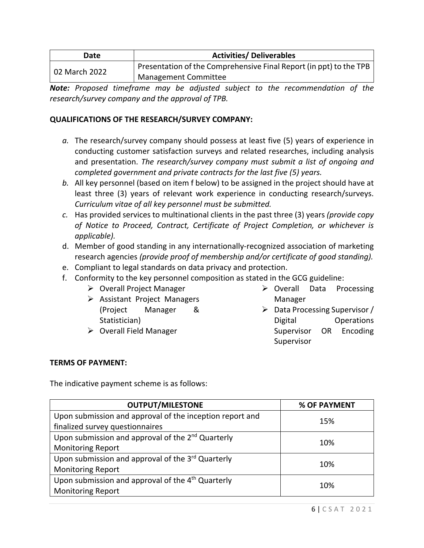| Date          | <b>Activities/ Deliverables</b>                                    |  |
|---------------|--------------------------------------------------------------------|--|
| 02 March 2022 | Presentation of the Comprehensive Final Report (in ppt) to the TPB |  |
|               | Management Committee                                               |  |

*Note: Proposed timeframe may be adjusted subject to the recommendation of the research/survey company and the approval of TPB.* 

#### **QUALIFICATIONS OF THE RESEARCH/SURVEY COMPANY:**

- *a.* The research/survey company should possess at least five (5) years of experience in conducting customer satisfaction surveys and related researches, including analysis and presentation. *The research/survey company must submit a list of ongoing and completed government and private contracts for the last five (5) years.*
- *b.* All key personnel (based on item f below) to be assigned in the project should have at least three (3) years of relevant work experience in conducting research/surveys. *Curriculum vitae of all key personnel must be submitted.*
- *c.* Has provided services to multinational clients in the past three (3) years *(provide copy of Notice to Proceed, Contract, Certificate of Project Completion, or whichever is applicable).*
- d. Member of good standing in any internationally-recognized association of marketing research agencies *(provide proof of membership and/or certificate of good standing).*
- e. Compliant to legal standards on data privacy and protection.
- f. Conformity to the key personnel composition as stated in the GCG guideline:
	- $\triangleright$  Overall Project Manager
	- $\triangleright$  Assistant Project Managers (Project Manager & Statistician)
	- $\triangleright$  Overall Field Manager
- $\triangleright$  Overall Data Processing Manager
- $\triangleright$  Data Processing Supervisor / Digital Operations Supervisor OR Encoding Supervisor

## **TERMS OF PAYMENT:**

The indicative payment scheme is as follows:

| <b>OUTPUT/MILESTONE</b>                                       | % OF PAYMENT |  |
|---------------------------------------------------------------|--------------|--|
| Upon submission and approval of the inception report and      | 15%          |  |
| finalized survey questionnaires                               |              |  |
| Upon submission and approval of the 2 <sup>nd</sup> Quarterly |              |  |
| <b>Monitoring Report</b>                                      | 10%          |  |
| Upon submission and approval of the 3rd Quarterly             | 10%          |  |
| <b>Monitoring Report</b>                                      |              |  |
| Upon submission and approval of the 4 <sup>th</sup> Quarterly |              |  |
| <b>Monitoring Report</b>                                      | 10%          |  |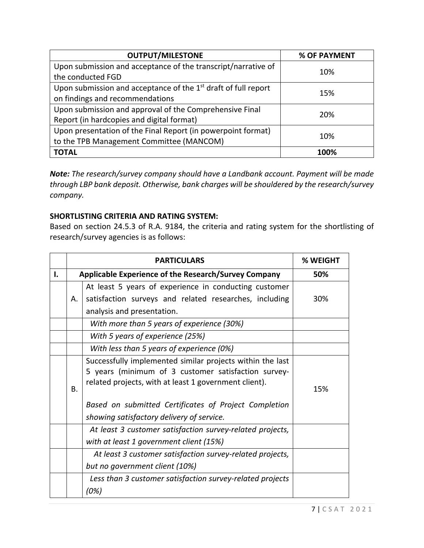| <b>OUTPUT/MILESTONE</b>                                                    | % OF PAYMENT |  |
|----------------------------------------------------------------------------|--------------|--|
| Upon submission and acceptance of the transcript/narrative of              | 10%          |  |
| the conducted FGD                                                          |              |  |
| Upon submission and acceptance of the 1 <sup>st</sup> draft of full report |              |  |
| on findings and recommendations                                            | 15%          |  |
| Upon submission and approval of the Comprehensive Final                    | 20%          |  |
| Report (in hardcopies and digital format)                                  |              |  |
| Upon presentation of the Final Report (in powerpoint format)               | 10%          |  |
| to the TPB Management Committee (MANCOM)                                   |              |  |
| <b>TOTAL</b>                                                               | 100%         |  |

*Note: The research/survey company should have a Landbank account. Payment will be made through LBP bank deposit. Otherwise, bank charges will be shouldered by the research/survey company.* 

## **SHORTLISTING CRITERIA AND RATING SYSTEM:**

Based on section 24.5.3 of R.A. 9184, the criteria and rating system for the shortlisting of research/survey agencies is as follows:

|    | <b>PARTICULARS</b>                                          |                                                                                                                                                                           | % WEIGHT |
|----|-------------------------------------------------------------|---------------------------------------------------------------------------------------------------------------------------------------------------------------------------|----------|
| I. | <b>Applicable Experience of the Research/Survey Company</b> |                                                                                                                                                                           | 50%      |
|    |                                                             | At least 5 years of experience in conducting customer                                                                                                                     |          |
|    | А.                                                          | satisfaction surveys and related researches, including                                                                                                                    | 30%      |
|    |                                                             | analysis and presentation.                                                                                                                                                |          |
|    |                                                             | With more than 5 years of experience (30%)                                                                                                                                |          |
|    |                                                             | With 5 years of experience (25%)                                                                                                                                          |          |
|    |                                                             | With less than 5 years of experience (0%)                                                                                                                                 |          |
|    | Β.                                                          | Successfully implemented similar projects within the last<br>5 years (minimum of 3 customer satisfaction survey-<br>related projects, with at least 1 government client). | 15%      |
|    |                                                             | Based on submitted Certificates of Project Completion<br>showing satisfactory delivery of service.                                                                        |          |
|    |                                                             | At least 3 customer satisfaction survey-related projects,<br>with at least 1 government client (15%)                                                                      |          |
|    |                                                             | At least 3 customer satisfaction survey-related projects,<br>but no government client (10%)                                                                               |          |
|    |                                                             | Less than 3 customer satisfaction survey-related projects<br>(0%)                                                                                                         |          |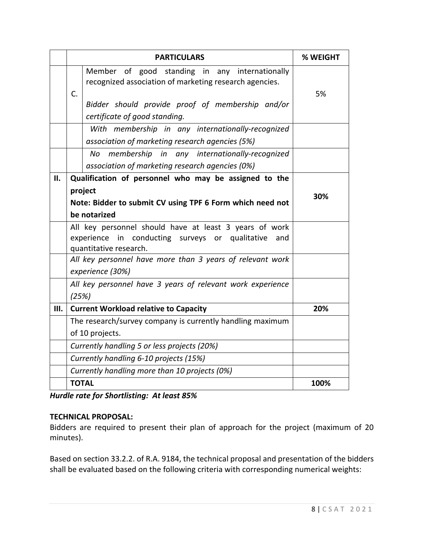|     | <b>PARTICULARS</b>                                                                                                                                                 | % WEIGHT |
|-----|--------------------------------------------------------------------------------------------------------------------------------------------------------------------|----------|
|     | Member of good standing in any internationally<br>recognized association of marketing research agencies.<br>C.<br>Bidder should provide proof of membership and/or | 5%       |
|     | certificate of good standing.                                                                                                                                      |          |
|     | With membership in any internationally-recognized<br>association of marketing research agencies (5%)                                                               |          |
|     | No<br>membership in any internationally-recognized<br>association of marketing research agencies (0%)                                                              |          |
| II. | Qualification of personnel who may be assigned to the                                                                                                              |          |
|     | project                                                                                                                                                            | 30%      |
|     | Note: Bidder to submit CV using TPF 6 Form which need not                                                                                                          |          |
|     | be notarized                                                                                                                                                       |          |
|     | All key personnel should have at least 3 years of work<br>in conducting surveys or qualitative<br>experience<br>and<br>quantitative research.                      |          |
|     | All key personnel have more than 3 years of relevant work                                                                                                          |          |
|     | experience (30%)                                                                                                                                                   |          |
|     | All key personnel have 3 years of relevant work experience<br>(25%)                                                                                                |          |
| Ш.  | 20%<br><b>Current Workload relative to Capacity</b>                                                                                                                |          |
|     | The research/survey company is currently handling maximum                                                                                                          |          |
|     | of 10 projects.                                                                                                                                                    |          |
|     | Currently handling 5 or less projects (20%)                                                                                                                        |          |
|     | Currently handling 6-10 projects (15%)                                                                                                                             |          |
|     | Currently handling more than 10 projects (0%)                                                                                                                      |          |
|     | <b>TOTAL</b>                                                                                                                                                       | 100%     |

*Hurdle rate for Shortlisting: At least 85%*

## **TECHNICAL PROPOSAL:**

Bidders are required to present their plan of approach for the project (maximum of 20 minutes).

Based on section 33.2.2. of R.A. 9184, the technical proposal and presentation of the bidders shall be evaluated based on the following criteria with corresponding numerical weights: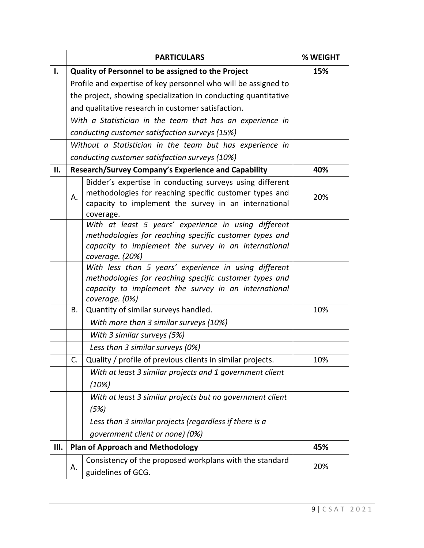|     |    | <b>PARTICULARS</b>                                                                                                                                                                        | % WEIGHT |  |
|-----|----|-------------------------------------------------------------------------------------------------------------------------------------------------------------------------------------------|----------|--|
| ı.  |    | Quality of Personnel to be assigned to the Project                                                                                                                                        | 15%      |  |
|     |    | Profile and expertise of key personnel who will be assigned to                                                                                                                            |          |  |
|     |    | the project, showing specialization in conducting quantitative                                                                                                                            |          |  |
|     |    | and qualitative research in customer satisfaction.                                                                                                                                        |          |  |
|     |    | With a Statistician in the team that has an experience in                                                                                                                                 |          |  |
|     |    | conducting customer satisfaction surveys (15%)                                                                                                                                            |          |  |
|     |    | Without a Statistician in the team but has experience in                                                                                                                                  |          |  |
|     |    | conducting customer satisfaction surveys (10%)                                                                                                                                            |          |  |
| ΙΙ. |    | <b>Research/Survey Company's Experience and Capability</b>                                                                                                                                | 40%      |  |
|     | Α. | Bidder's expertise in conducting surveys using different<br>methodologies for reaching specific customer types and<br>capacity to implement the survey in an international<br>coverage.   | 20%      |  |
|     |    | With at least 5 years' experience in using different<br>methodologies for reaching specific customer types and<br>capacity to implement the survey in an international<br>coverage. (20%) |          |  |
|     |    | With less than 5 years' experience in using different<br>methodologies for reaching specific customer types and<br>capacity to implement the survey in an international<br>coverage. (0%) |          |  |
|     | В. | Quantity of similar surveys handled.                                                                                                                                                      | 10%      |  |
|     |    | With more than 3 similar surveys (10%)                                                                                                                                                    |          |  |
|     |    | With 3 similar surveys (5%)                                                                                                                                                               |          |  |
|     |    | Less than 3 similar surveys (0%)                                                                                                                                                          |          |  |
|     | C. | Quality / profile of previous clients in similar projects.                                                                                                                                | 10%      |  |
|     |    | With at least 3 similar projects and 1 government client                                                                                                                                  |          |  |
|     |    | (10%)                                                                                                                                                                                     |          |  |
|     |    | With at least 3 similar projects but no government client                                                                                                                                 |          |  |
|     |    | (5%)                                                                                                                                                                                      |          |  |
|     |    | Less than 3 similar projects (regardless if there is a                                                                                                                                    |          |  |
|     |    | government client or none) (0%)                                                                                                                                                           |          |  |
| Ш.  |    | <b>Plan of Approach and Methodology</b>                                                                                                                                                   | 45%      |  |
|     | А. | Consistency of the proposed workplans with the standard<br>guidelines of GCG.                                                                                                             | 20%      |  |